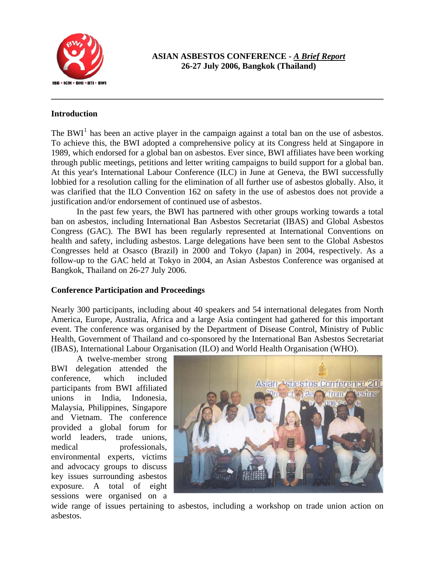

**ASIAN ASBESTOS CONFERENCE -** *A Brief Report* **26-27 July 2006, Bangkok (Thailand)** 

## **Introduction**

The BWI<sup>[1](#page-1-0)</sup> has been an active player in the campaign against a total ban on the use of asbestos. To achieve this, the BWI adopted a comprehensive policy at its Congress held at Singapore in 1989, which endorsed for a global ban on asbestos. Ever since, BWI affiliates have been working through public meetings, petitions and letter writing campaigns to build support for a global ban. At this year's International Labour Conference (ILC) in June at Geneva, the BWI successfully lobbied for a resolution calling for the elimination of all further use of asbestos globally. Also, it was clarified that the ILO Convention 162 on safety in the use of asbestos does not provide a justification and/or endorsement of continued use of asbestos.

**\_\_\_\_\_\_\_\_\_\_\_\_\_\_\_\_\_\_\_\_\_\_\_\_\_\_\_\_\_\_\_\_\_\_\_\_\_\_\_\_\_\_\_\_\_\_\_\_\_\_\_\_\_\_\_\_\_\_\_\_\_\_\_\_\_\_\_\_\_\_\_\_\_\_\_\_\_\_** 

In the past few years, the BWI has partnered with other groups working towards a total ban on asbestos, including International Ban Asbestos Secretariat (IBAS) and Global Asbestos Congress (GAC). The BWI has been regularly represented at International Conventions on health and safety, including asbestos. Large delegations have been sent to the Global Asbestos Congresses held at Osasco (Brazil) in 2000 and Tokyo (Japan) in 2004, respectively. As a follow-up to the GAC held at Tokyo in 2004, an Asian Asbestos Conference was organised at Bangkok, Thailand on 26-27 July 2006.

## **Conference Participation and Proceedings**

Nearly 300 participants, including about 40 speakers and 54 international delegates from North America, Europe, Australia, Africa and a large Asia contingent had gathered for this important event. The conference was organised by the Department of Disease Control, Ministry of Public Health, Government of Thailand and co-sponsored by the International Ban Asbestos Secretariat (IBAS), International Labour Organisation (ILO) and World Health Organisation (WHO).

A twelve-member strong BWI delegation attended the conference, which included participants from BWI affiliated unions in India, Indonesia, Malaysia, Philippines, Singapore and Vietnam. The conference provided a global forum for world leaders, trade unions, medical professionals, environmental experts, victims and advocacy groups to discuss key issues surrounding asbestos exposure. A total of eight sessions were organised on a



wide range of issues pertaining to asbestos, including a workshop on trade union action on asbestos.